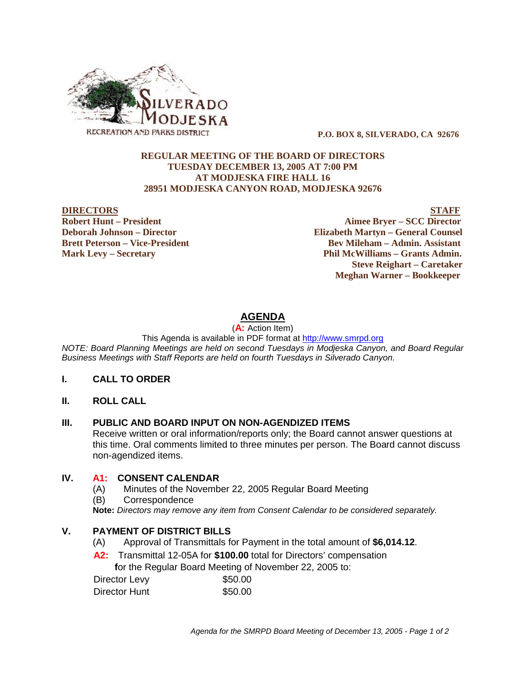

 **P.O. BOX 8, SILVERADO, CA 92676**

## **REGULAR MEETING OF THE BOARD OF DIRECTORS TUESDAY DECEMBER 13, 2005 AT 7:00 PM AT MODJESKA FIRE HALL 16 28951 MODJESKA CANYON ROAD, MODJESKA 92676**

**DIRECTORS STAFF Robert Hunt – President Aimee Bryer – SCC Director Deborah Johnson – Director Elizabeth Martyn – General Counsel Brett Peterson – Vice-President Electronic Serverson – Serverson – Serverson – Admin. Assistant Mark Levy – Secretary Phil McWilliams – Grants Admin. Steve Reighart – Caretaker Meghan Warner – Bookkeeper**

# **AGENDA**

(**A:** Action Item)

This Agenda is available in PDF format at http://www.smrpd.org

*NOTE: Board Planning Meetings are held on second Tuesdays in Modjeska Canyon, and Board Regular Business Meetings with Staff Reports are held on fourth Tuesdays in Silverado Canyon.*

## **I. CALL TO ORDER**

**II. ROLL CALL**

## **III. PUBLIC AND BOARD INPUT ON NON-AGENDIZED ITEMS**

Receive written or oral information/reports only; the Board cannot answer questions at this time. Oral comments limited to three minutes per person. The Board cannot discuss non-agendized items.

## **IV. A1:CONSENT CALENDAR**

- (A) Minutes of the November 22, 2005 Regular Board Meeting
- (B) Correspondence

**Note:** *Directors may remove any item from Consent Calendar to be considered separately.*

## **V. PAYMENT OF DISTRICT BILLS**

- (A) Approval of Transmittals for Payment in the total amount of **\$6,014.12**.
- **A2:**Transmittal 12-05A for **\$100.00** total for Directors' compensation  **f**or the Regular Board Meeting of November 22, 2005 to:

| Director Levy | \$50.00 |
|---------------|---------|
| Director Hunt | \$50.00 |